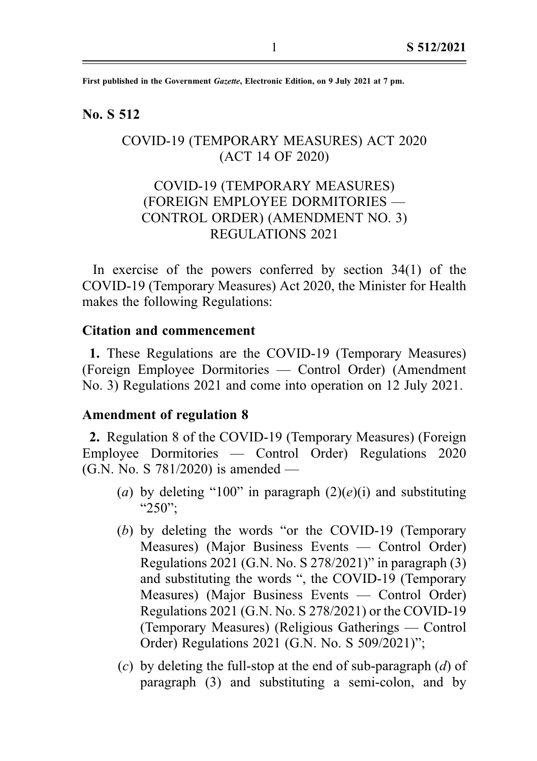First published in the Government Gazette, Electronic Edition, on 9 July 2021 at 7 pm.

### No. S 512

# COVID-19 (TEMPORARY MEASURES) ACT 2020 (ACT 14 OF 2020)

# COVID-19 (TEMPORARY MEASURES) (FOREIGN EMPLOYEE DORMITORIES — CONTROL ORDER) (AMENDMENT NO. 3) REGULATIONS 2021

In exercise of the powers conferred by section 34(1) of the COVID-19 (Temporary Measures) Act 2020, the Minister for Health makes the following Regulations:

## Citation and commencement

1. These Regulations are the COVID-19 (Temporary Measures) (Foreign Employee Dormitories — Control Order) (Amendment No. 3) Regulations 2021 and come into operation on 12 July 2021.

#### Amendment of regulation 8

2. Regulation 8 of the COVID-19 (Temporary Measures) (Foreign Employee Dormitories — Control Order) Regulations 2020 (G.N. No. S 781/2020) is amended —

- (a) by deleting "100" in paragraph  $(2)(e)(i)$  and substituting "250":
- (b) by deleting the words "or the COVID-19 (Temporary Measures) (Major Business Events — Control Order) Regulations 2021 (G.N. No. S 278/2021)" in paragraph (3) and substituting the words ", the COVID-19 (Temporary Measures) (Major Business Events — Control Order) Regulations 2021 (G.N. No. S 278/2021) or the COVID-19 (Temporary Measures) (Religious Gatherings — Control Order) Regulations 2021 (G.N. No. S 509/2021)";
- (c) by deleting the full-stop at the end of sub-paragraph  $(d)$  of paragraph (3) and substituting a semi-colon, and by